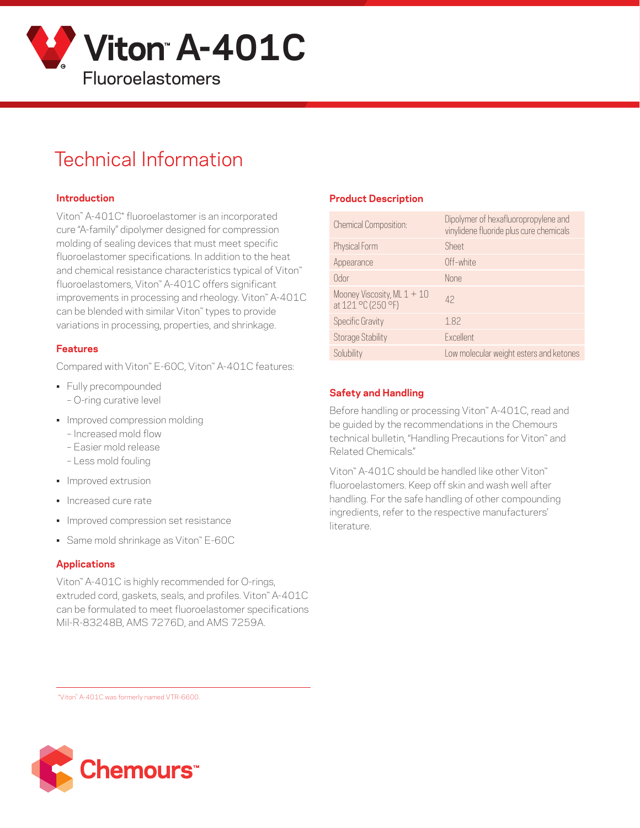

# Technical Information

#### **Introduction**

Viton™ A-401C\* fluoroelastomer is an incorporated cure "A-family" dipolymer designed for compression molding of sealing devices that must meet specific fluoroelastomer specifications. In addition to the heat and chemical resistance characteristics typical of Viton™ fluoroelastomers, Viton™ A-401C offers significant improvements in processing and rheology. Viton™ A-401C can be blended with similar Viton™ types to provide variations in processing, properties, and shrinkage.

#### **Features**

Compared with Viton™ E-60C, Viton™ A-401C features:

- Fully precompounded
	- O-ring curative level
- Improved compression molding
	- Increased mold flow
	- Easier mold release
	- Less mold fouling
- Improved extrusion
- Increased cure rate
- Improved compression set resistance
- Same mold shrinkage as Viton™ E-60C

#### **Applications**

Viton™ A-401C is highly recommended for O-rings, extruded cord, gaskets, seals, and profiles. Viton™ A-401C can be formulated to meet fluoroelastomer specifications Mil-R-83248B, AMS 7276D, and AMS 7259A.

#### **Product Description**

| <b>Chemical Composition:</b>                        | Dipolymer of hexafluoropropylene and<br>vinylidene fluoride plus cure chemicals |
|-----------------------------------------------------|---------------------------------------------------------------------------------|
| Physical Form                                       | Sheet                                                                           |
| Appearance                                          | Off-white                                                                       |
| Odor                                                | <b>None</b>                                                                     |
| Mooney Viscosity, ML $1 + 10$<br>at 121 °C (250 °F) | 42                                                                              |
| <b>Specific Gravity</b>                             | 1.82                                                                            |
| <b>Storage Stability</b>                            | Excellent                                                                       |
| Solubility                                          | Low molecular weight esters and ketones                                         |

#### **Safety and Handling**

Before handling or processing Viton<sup>™</sup> A-401C, read and be guided by the recommendations in the Chemours technical bulletin, "Handling Precautions for Viton" and Related Chemicals."

Viton™ A-401C should be handled like other Viton™ fluoroelastomers. Keep off skin and wash well after handling. For the safe handling of other compounding ingredients, refer to the respective manufacturers' literature.

\*Viton™ A-401C was formerly named VTR-6600.

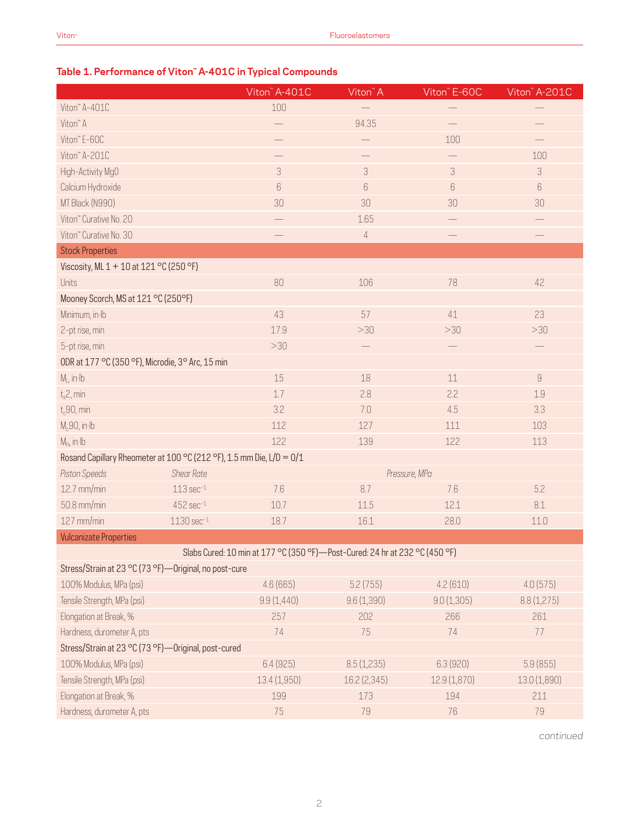#### **Table 1. Performance of Viton™ A-401C in Typical Compounds**

|                                                                      |                         | Viton" A-401C                                                               | Viton <sup>™</sup> A | Viton <sup>"</sup> E-60C | Viton" A-201C             |  |  |  |
|----------------------------------------------------------------------|-------------------------|-----------------------------------------------------------------------------|----------------------|--------------------------|---------------------------|--|--|--|
| Viton" A-401C                                                        |                         | 100                                                                         |                      |                          |                           |  |  |  |
| Viton <sup>™</sup> A                                                 |                         | $\overline{\phantom{0}}$                                                    | 94.35                |                          |                           |  |  |  |
| Viton" E-60C                                                         |                         |                                                                             |                      | 100                      |                           |  |  |  |
| Viton" A-201C                                                        |                         |                                                                             |                      |                          | 100                       |  |  |  |
| High-Activity MgO                                                    |                         | $\mathfrak{Z}$                                                              | 3                    | 3                        | $\ensuremath{\mathsf{3}}$ |  |  |  |
| Calcium Hydroxide                                                    |                         | $\,6\,$                                                                     | 6                    | $\,6\,$                  | $6\,$                     |  |  |  |
| MT Black (N990)                                                      |                         | 30                                                                          | 30                   | 30                       | 30                        |  |  |  |
| Viton" Curative No. 20                                               |                         |                                                                             | 1.65                 |                          |                           |  |  |  |
| Viton" Curative No. 30                                               |                         |                                                                             | $\sqrt{4}$           |                          |                           |  |  |  |
| <b>Stock Properties</b>                                              |                         |                                                                             |                      |                          |                           |  |  |  |
| Viscosity, ML 1 + 10 at 121 °C (250 °F)                              |                         |                                                                             |                      |                          |                           |  |  |  |
| Units                                                                |                         | 80                                                                          | 106                  | 78                       | 42                        |  |  |  |
| Mooney Scorch, MS at 121 °C (250°F)                                  |                         |                                                                             |                      |                          |                           |  |  |  |
| Minimum, in Ib                                                       |                         | 43                                                                          | 57                   | 41                       | 23                        |  |  |  |
| 2-pt rise, min                                                       |                         | 17.9                                                                        | >30                  | >30                      | >30                       |  |  |  |
| 5-pt rise, min                                                       |                         | >30                                                                         |                      |                          |                           |  |  |  |
| ODR at 177 °C (350 °F), Microdie, 3° Arc, 15 min                     |                         |                                                                             |                      |                          |                           |  |  |  |
| $M1$ , in Ib                                                         |                         | 15                                                                          | $18\,$               | 11                       | $\hbox{g}$                |  |  |  |
| $t_s$ 2, min                                                         |                         | 1.7                                                                         | 2.8                  | 2.2                      | 1.9                       |  |  |  |
| $t_c$ 90, min                                                        |                         | 3.2                                                                         | 7.0                  | 4.5                      | 3.3                       |  |  |  |
| $M_c$ 90, in·lb                                                      |                         | 112                                                                         | 127                  | 111                      | 103                       |  |  |  |
| $M_H$ , in Ib                                                        |                         | 122                                                                         | 139                  | 122                      | 113                       |  |  |  |
| Rosand Capillary Rheometer at 100 °C (212 °F), 1.5 mm Die, L/D = 0/1 |                         |                                                                             |                      |                          |                           |  |  |  |
| Piston Speeds                                                        | <b>Shear Rate</b>       |                                                                             |                      | Pressure, MPa            |                           |  |  |  |
| 12.7 mm/min                                                          | $113 sec-1$             | 7.6                                                                         | 8.7                  | 7.6                      | 5.2                       |  |  |  |
| 50.8 mm/min                                                          | $452$ sec $^{-1}$       | 10.7                                                                        | 11.5                 | 12.1                     | $8.1\,$                   |  |  |  |
| 127 mm/min                                                           | $1130 \text{ sec}^{-1}$ | 18.7                                                                        | 16.1                 | 28.0                     | 11.0                      |  |  |  |
| <b>Vulcanizate Properties</b>                                        |                         |                                                                             |                      |                          |                           |  |  |  |
|                                                                      |                         | Slabs Cured: 10 min at 177 °C (350 °F)-Post-Cured: 24 hr at 232 °C (450 °F) |                      |                          |                           |  |  |  |
| Stress/Strain at 23 °C (73 °F) — Original, no post-cure              |                         |                                                                             |                      |                          |                           |  |  |  |
| 100% Modulus, MPa (psi)                                              |                         | 4.6(665)                                                                    | 5.2(755)             | 4.2(610)                 | 4.0(575)                  |  |  |  |
| Tensile Strength, MPa (psi)                                          |                         | 9.9(1,440)                                                                  | 9.6(1,390)           | 9.0(1,305)               | 8.8(1,275)                |  |  |  |
| Elongation at Break, %                                               |                         | 257                                                                         | 202                  | 266                      | 261                       |  |  |  |
| Hardness, durometer A, pts                                           |                         | 74                                                                          | 75                   | 74                       | 77                        |  |  |  |
| Stress/Strain at 23 °C (73 °F)-Original, post-cured                  |                         |                                                                             |                      |                          |                           |  |  |  |
| 100% Modulus, MPa (psi)                                              |                         | 6.4(925)                                                                    | 8.5(1,235)           | 6.3(920)                 | 5.9(855)                  |  |  |  |
| Tensile Strength, MPa (psi)                                          |                         | 13.4 (1,950)                                                                | 16.2 (2,345)         | 12.9 (1,870)             | 13.0 (1,890)              |  |  |  |
| Elongation at Break, %                                               |                         | 199                                                                         | 173                  | 194                      | 211                       |  |  |  |
| Hardness, durometer A, pts                                           |                         | 75                                                                          | 79                   | 76                       | 79                        |  |  |  |

*continued*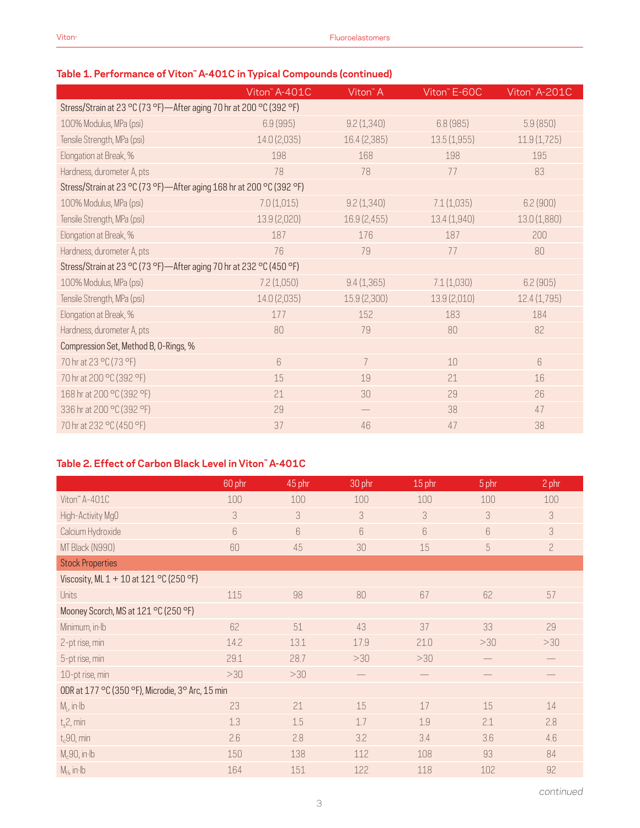#### **Table 1. Performance of Viton™ A-401C in Typical Compounds (continued)**

|                                                                      | Viton" A-401C   | Viton <sup>™</sup> A | Viton" E-60C | Viton <sup>"</sup> A-201C |  |  |  |  |
|----------------------------------------------------------------------|-----------------|----------------------|--------------|---------------------------|--|--|--|--|
| Stress/Strain at 23 °C (73 °F)-After aging 70 hr at 200 °C (392 °F)  |                 |                      |              |                           |  |  |  |  |
| 100% Modulus, MPa (psi)                                              | 6.9(995)        | 9.2(1,340)           | 6.8(985)     | 5.9(850)                  |  |  |  |  |
| Tensile Strength, MPa (psi)                                          | 14.0 (2,035)    | 16.4 (2,385)         | 13.5(1,955)  | 11.9(1,725)               |  |  |  |  |
| Elongation at Break, %                                               | 198             | 168                  | 198          | 195                       |  |  |  |  |
| Hardness, durometer A, pts                                           | 78              | 78                   | 77           | 83                        |  |  |  |  |
| Stress/Strain at 23 °C (73 °F)-After aging 168 hr at 200 °C (392 °F) |                 |                      |              |                           |  |  |  |  |
| 100% Modulus, MPa (psi)                                              | 7.0(1,015)      | 9.2(1,340)           | 7.1(1,035)   | 6.2(900)                  |  |  |  |  |
| Tensile Strength, MPa (psi)                                          | 13.9 (2,020)    | 16.9 (2,455)         | 13.4 (1,940) | 13.0 (1,880)              |  |  |  |  |
| Elongation at Break, %                                               | 187             | 176                  | 187          | 200                       |  |  |  |  |
| Hardness, durometer A, pts                                           | 76              | 79                   | 77           | 80                        |  |  |  |  |
| Stress/Strain at 23 °C (73 °F)—After aging 70 hr at 232 °C (450 °F)  |                 |                      |              |                           |  |  |  |  |
| 100% Modulus, MPa (psi)                                              | 7.2(1,050)      | 9.4(1,365)           | 7.1(1,030)   | 6.2(905)                  |  |  |  |  |
| Tensile Strength, MPa (psi)                                          | 14.0 (2,035)    | 15.9 (2,300)         | 13.9 (2,010) | 12.4(1,795)               |  |  |  |  |
| Elongation at Break, %                                               | 177             | 152                  | 183          | 184                       |  |  |  |  |
| Hardness, durometer A, pts                                           | 80              | 79                   | 80           | 82                        |  |  |  |  |
| Compression Set, Method B, O-Rings, %                                |                 |                      |              |                           |  |  |  |  |
| 70 hr at 23 °C (73 °F)                                               | $6\overline{6}$ | $\overline{7}$       | 10           | 6                         |  |  |  |  |
| 70 hr at 200 °C (392 °F)                                             | 15              | 19                   | 21           | 16                        |  |  |  |  |
| 168 hr at 200 °C (392 °F)                                            | 21              | 30                   | 29           | 26                        |  |  |  |  |
| 336 hr at 200 °C (392 °F)                                            | 29              |                      | 38           | 47                        |  |  |  |  |
| 70 hr at 232 °C (450 °F)                                             | 37              | 46                   | 47           | 38                        |  |  |  |  |
|                                                                      |                 |                      |              |                           |  |  |  |  |

#### **Table 2. Effect of Carbon Black Level in Viton™ A-401C**

|                                                  | 60 phr | 45 phr | 30 phr | 15 phr | 5 phr | 2 phr          |
|--------------------------------------------------|--------|--------|--------|--------|-------|----------------|
| Viton" A-401C                                    | 100    | 100    | 100    | 100    | 100   | 100            |
| High-Activity MgO                                | 3      | 3      | 3      | 3      | 3     | 3              |
| Calcium Hydroxide                                | 6      | 6      | 6      | 6      | 6     | 3              |
| MT Black (N990)                                  | 60     | 45     | 30     | 15     | 5     | $\overline{c}$ |
| <b>Stock Properties</b>                          |        |        |        |        |       |                |
| Viscosity, ML 1 + 10 at 121 °C (250 °F)          |        |        |        |        |       |                |
| <b>Units</b>                                     | 115    | 98     | 80     | 67     | 62    | 57             |
| Mooney Scorch, MS at 121 °C (250 °F)             |        |        |        |        |       |                |
| Minimum, in Ib                                   | 62     | 51     | 43     | 37     | 33    | 29             |
| 2-pt rise, min                                   | 14.2   | 13.1   | 17.9   | 21.0   | >30   | >30            |
| 5-pt rise, min                                   | 29.1   | 28.7   | >30    | >30    |       |                |
| 10-pt rise, min                                  | >30    | >30    |        |        |       |                |
| ODR at 177 °C (350 °F), Microdie, 3° Arc, 15 min |        |        |        |        |       |                |
| $M_L$ , in Ib                                    | 23     | 21     | 15     | 17     | 15    | 14             |
| $t_s$ 2, min                                     | 1.3    | 1.5    | 1.7    | 1.9    | 2.1   | 2.8            |
| $t_c$ 90, min                                    | 2.6    | 2.8    | 3.2    | 3.4    | 3.6   | 4.6            |
| $M_c$ 90, in·lb                                  | 150    | 138    | 112    | 108    | 93    | 84             |
| $M_H$ , in Ib                                    | 164    | 151    | 122    | 118    | 102   | 92             |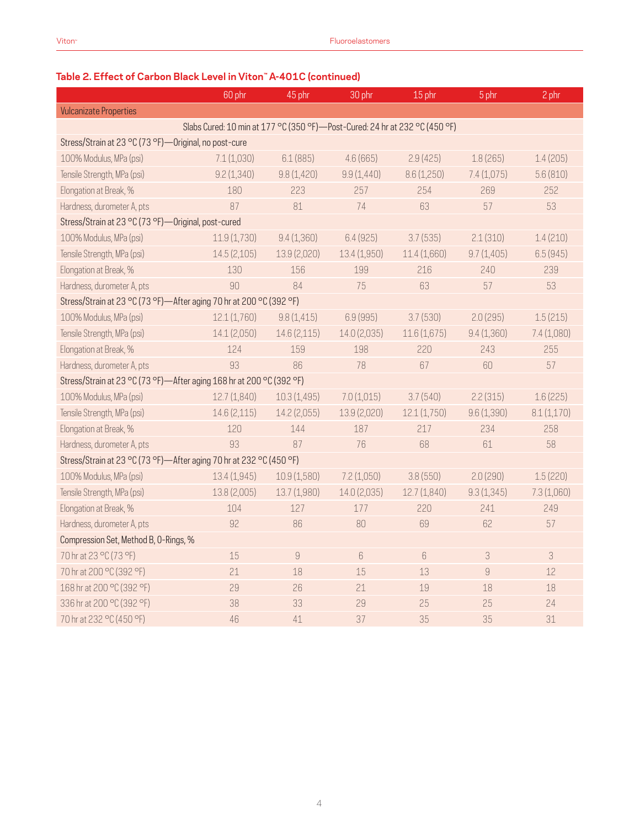## **Table 2. Effect of Carbon Black Level in Viton™ A-401C (continued)**

|                                                                      | 60 phr                                                                      | 45 phr       | 30 phr       | 15 phr       | 5 phr      | 2 phr       |  |
|----------------------------------------------------------------------|-----------------------------------------------------------------------------|--------------|--------------|--------------|------------|-------------|--|
| <b>Vulcanizate Properties</b>                                        |                                                                             |              |              |              |            |             |  |
|                                                                      | Slabs Cured: 10 min at 177 °C (350 °F)-Post-Cured: 24 hr at 232 °C (450 °F) |              |              |              |            |             |  |
| Stress/Strain at 23 °C (73 °F)-Original, no post-cure                |                                                                             |              |              |              |            |             |  |
| 100% Modulus, MPa (psi)                                              | 7.1(1,030)                                                                  | 6.1(885)     | 4.6(665)     | 2.9(425)     | 1.8(265)   | 1.4(205)    |  |
| Tensile Strength, MPa (psi)                                          | 9.2(1,340)                                                                  | 9.8(1,420)   | 9.9(1,440)   | 8.6 (1,250)  | 7.4(1,075) | 5.6(810)    |  |
| Elongation at Break, %                                               | 180                                                                         | 223          | 257          | 254          | 269        | 252         |  |
| Hardness, durometer A, pts                                           | 87                                                                          | 81           | 74           | 63           | 57         | 53          |  |
| Stress/Strain at 23 °C (73 °F)-Original, post-cured                  |                                                                             |              |              |              |            |             |  |
| 100% Modulus, MPa (psi)                                              | 11.9(1,730)                                                                 | 9.4(1,360)   | 6.4(925)     | 3.7(535)     | 2.1(310)   | 1.4(210)    |  |
| Tensile Strength, MPa (psi)                                          | 14.5 (2,105)                                                                | 13.9 (2,020) | 13.4 (1,950) | 11.4 (1,660) | 9.7(1,405) | 6.5(945)    |  |
| Elongation at Break, %                                               | 130                                                                         | 156          | 199          | 216          | 240        | 239         |  |
| Hardness, durometer A, pts                                           | 90                                                                          | 84           | 75           | 63           | 57         | 53          |  |
| Stress/Strain at 23 °C (73 °F)-After aging 70 hr at 200 °C (392 °F)  |                                                                             |              |              |              |            |             |  |
| 100% Modulus, MPa (psi)                                              | 12.1(1,760)                                                                 | 9.8(1,415)   | 6.9 (995)    | 3.7(530)     | 2.0(295)   | 1.5(215)    |  |
| Tensile Strength, MPa (psi)                                          | 14.1 (2,050)                                                                | 14.6 (2,115) | 14.0 (2,035) | 11.6(1,675)  | 9.4(1,360) | 7.4 (1,080) |  |
| Elongation at Break, %                                               | 124                                                                         | 159          | 198          | 220          | 243        | 255         |  |
| Hardness, durometer A, pts                                           | 93                                                                          | 86           | 78           | 67           | 60         | 57          |  |
| Stress/Strain at 23 °C (73 °F)-After aging 168 hr at 200 °C (392 °F) |                                                                             |              |              |              |            |             |  |
| 100% Modulus, MPa (psi)                                              | 12.7(1,840)                                                                 | 10.3(1,495)  | 7.0(1,015)   | 3.7(540)     | 2.2(315)   | 1.6(225)    |  |
| Tensile Strength, MPa (psi)                                          | 14.6 (2,115)                                                                | 14.2 (2,055) | 13.9 (2,020) | 12.1(1,750)  | 9.6(1,390) | 8.1(1,170)  |  |
| Elongation at Break, %                                               | 120                                                                         | 144          | 187          | 217          | 234        | 258         |  |
| Hardness, durometer A, pts                                           | 93                                                                          | 87           | 76           | 68           | 61         | 58          |  |
| Stress/Strain at 23 °C (73 °F)-After aging 70 hr at 232 °C (450 °F)  |                                                                             |              |              |              |            |             |  |
| 100% Modulus, MPa (psi)                                              | 13.4 (1,945)                                                                | 10.9(1,580)  | 7.2(1,050)   | 3.8(550)     | 2.0(290)   | 1.5(220)    |  |
| Tensile Strength, MPa (psi)                                          | 13.8 (2,005)                                                                | 13.7 (1,980) | 14.0 (2,035) | 12.7(1,840)  | 9.3(1,345) | 7.3 (1,060) |  |
| Elongation at Break, %                                               | 104                                                                         | 127          | 177          | 220          | 241        | 249         |  |
| Hardness, durometer A, pts                                           | 92                                                                          | 86           | 80           | 69           | 62         | 57          |  |
| Compression Set, Method B, O-Rings, %                                |                                                                             |              |              |              |            |             |  |
| 70 hr at 23 °C (73 °F)                                               | 15                                                                          | $\hbox{g}$   | 6            | $6\,$        | 3          | 3           |  |
| 70 hr at 200 °C (392 °F)                                             | 21                                                                          | 18           | 15           | 13           | $\hbox{g}$ | 12          |  |
| 168 hr at 200 °C (392 °F)                                            | 29                                                                          | 26           | 21           | 19           | 18         | 18          |  |
| 336 hr at 200 °C (392 °F)                                            | 38                                                                          | 33           | 29           | 25           | 25         | 24          |  |
| 70 hr at 232 °C (450 °F)                                             | 46                                                                          | 41           | 37           | 35           | 35         | 31          |  |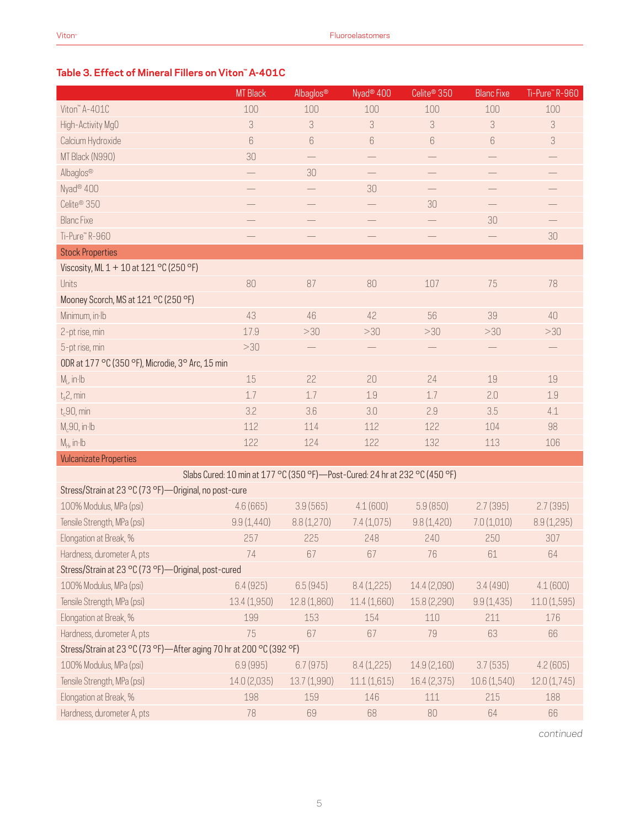#### **Table 3. Effect of Mineral Fillers on Viton™ A-401C**

|                                                                               | <b>MT Black</b> | Albaglos®        | Nyad <sup>®</sup> 400 | Celite <sup>®</sup> 350 | <b>Blanc Fixe</b> | Ti-Pure" R-960 |  |
|-------------------------------------------------------------------------------|-----------------|------------------|-----------------------|-------------------------|-------------------|----------------|--|
| Viton" A-401C                                                                 | 100             | 100              | 100                   | 100                     | 100               | 100            |  |
| High-Activity MgO                                                             | 3               | 3                | 3                     | 3                       | 3                 | 3              |  |
| Calcium Hydroxide                                                             | 6               | $\boldsymbol{6}$ | 6                     | 6                       | $6\,$             | 3              |  |
| MT Black (N990)                                                               | 30              |                  |                       |                         |                   |                |  |
| Albaglos®                                                                     |                 | 30               |                       |                         |                   |                |  |
| Nyad <sup>®</sup> 400                                                         |                 |                  | 30                    |                         |                   |                |  |
| Celite <sup>®</sup> 350                                                       |                 |                  |                       | 30                      |                   |                |  |
| <b>Blanc Fixe</b>                                                             |                 |                  |                       |                         | 30                |                |  |
| Ti-Pure™R-960                                                                 |                 |                  |                       | $\qquad \qquad -$       |                   | 30             |  |
| <b>Stock Properties</b>                                                       |                 |                  |                       |                         |                   |                |  |
| Viscosity, ML 1 + 10 at 121 °C (250 °F)                                       |                 |                  |                       |                         |                   |                |  |
| Units                                                                         | 80              | 87               | 80                    | 107                     | 75                | 78             |  |
| Mooney Scorch, MS at 121 °C (250 °F)                                          |                 |                  |                       |                         |                   |                |  |
| Minimum, in Ib                                                                | 43              | 46               | 42                    | 56                      | 39                | 40             |  |
| 2-pt rise, min                                                                | 17.9            | >30              | >30                   | >30                     | >30               | >30            |  |
| 5-pt rise, min                                                                | >30             |                  |                       |                         |                   |                |  |
| ODR at 177 °C (350 °F), Microdie, 3° Arc, 15 min                              |                 |                  |                       |                         |                   |                |  |
| $M1$ , in Ib                                                                  | 15              | 22               | 20                    | 24                      | 19                | 19             |  |
| $t_s$ 2, min                                                                  | 1.7             | 1.7              | 1.9                   | 1.7                     | 2.0               | 1.9            |  |
| $t_c$ 90, min                                                                 | 3.2             | 3.6              | 3.0                   | 2.9                     | 3.5               | 4.1            |  |
| $M_c$ 90, in·lb                                                               | 112             | 114              | 112                   | 122                     | 104               | 98             |  |
| $M_H$ , in $H$                                                                | 122             | 124              | 122                   | 132                     | 113               | 106            |  |
| <b>Vulcanizate Properties</b>                                                 |                 |                  |                       |                         |                   |                |  |
| Slabs Cured: 10 min at 177 °C (350 °F) - Post-Cured: 24 hr at 232 °C (450 °F) |                 |                  |                       |                         |                   |                |  |
| Stress/Strain at 23 °C (73 °F)-Original, no post-cure                         |                 |                  |                       |                         |                   |                |  |
| 100% Modulus, MPa (psi)                                                       | 4.6(665)        | 3.9(565)         | 4.1(600)              | 5.9(850)                | 2.7(395)          | 2.7(395)       |  |
| Tensile Strength, MPa (psi)                                                   | 9.9(1,440)      | 8.8(1,270)       | 7.4(1,075)            | 9.8(1,420)              | 7.0(1,010)        | 8.9(1,295)     |  |
| Elongation at Break, %                                                        | 257             | 225              | 248                   | 240                     | 250               | 307            |  |
| Hardness, durometer A, pts                                                    | 74              | 67               | 67                    | 76                      | 61                | 64             |  |
| Stress/Strain at 23 °C (73 °F)-Original, post-cured                           |                 |                  |                       |                         |                   |                |  |
| 100% Modulus, MPa (psi)                                                       | 6.4(925)        | 6.5(945)         | 8.4(1,225)            | 14.4 (2,090)            | 3.4(490)          | 4.1(600)       |  |
| Tensile Strength, MPa (psi)                                                   | 13.4(1,950)     | 12.8 (1,860)     | 11.4 (1,660)          | 15.8 (2,290)            | 9.9(1,435)        | 11.0(1,595)    |  |
| Elongation at Break, %                                                        | 199             | 153              | 154                   | 110                     | 211               | 176            |  |
| Hardness, durometer A, pts                                                    | 75              | 67               | 67                    | 79                      | 63                | 66             |  |
| Stress/Strain at 23 °C (73 °F)-After aging 70 hr at 200 °C (392 °F)           |                 |                  |                       |                         |                   |                |  |
| 100% Modulus, MPa (psi)                                                       | 6.9(995)        | 6.7(975)         | 8.4(1,225)            | 14.9 (2,160)            | 3.7(535)          | 4.2(605)       |  |
| Tensile Strength, MPa (psi)                                                   | 14.0 (2,035)    | 13.7 (1,990)     | 11.1(1,615)           | 16.4 (2,375)            | 10.6(1,540)       | 12.0(1,745)    |  |
| Elongation at Break, %                                                        | 198             | 159              | 146                   | 111                     | 215               | 188            |  |
| Hardness, durometer A, pts                                                    | 78              | 69               | 68                    | 80                      | 64                | 66             |  |

*continued*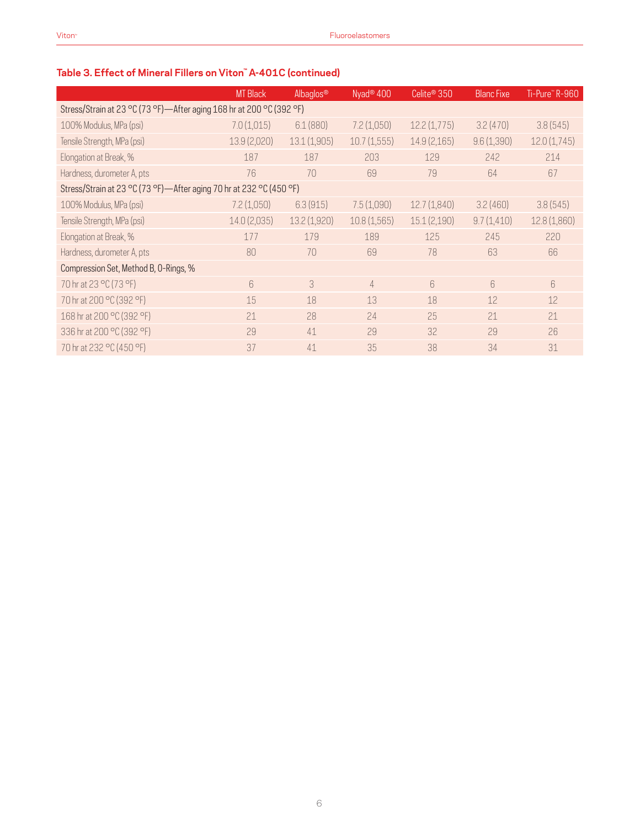### **Table 3. Effect of Mineral Fillers on Viton™ A-401C (continued)**

|                                                                      | <b>MT Black</b> | Albaglos®   | Nyad <sup>®</sup> 400 | Celite <sup>®</sup> 350 | <b>Blanc Fixe</b> | Ti-Pure" R-960 |
|----------------------------------------------------------------------|-----------------|-------------|-----------------------|-------------------------|-------------------|----------------|
| Stress/Strain at 23 °C (73 °F)—After aging 168 hr at 200 °C (392 °F) |                 |             |                       |                         |                   |                |
| 100% Modulus, MPa (psi)                                              | 7.0(1,015)      | 6.1(880)    | 7.2(1,050)            | 12.2(1,775)             | 3.2(470)          | 3.8(545)       |
| Tensile Strength, MPa (psi)                                          | 13.9 (2,020)    | 13.1(1,905) | 10.7(1,555)           | 14.9 (2,165)            | 9.6(1,390)        | 12.0(1,745)    |
| Elongation at Break, %                                               | 187             | 187         | 203                   | 129                     | 242               | 214            |
| Hardness, durometer A, pts                                           | 76              | 70          | 69                    | 79                      | 64                | 67             |
| Stress/Strain at 23 °C (73 °F)—After aging 70 hr at 232 °C (450 °F)  |                 |             |                       |                         |                   |                |
| 100% Modulus, MPa (psi)                                              | 7.2(1,050)      | 6.3(915)    | 7.5(1,090)            | 12.7(1,840)             | 3.2(460)          | 3.8(545)       |
| Tensile Strength, MPa (psi)                                          | 14.0 (2,035)    | 13.2(1,920) | 10.8(1,565)           | 15.1(2,190)             | 9.7(1,410)        | 12.8 (1,860)   |
| Elongation at Break, %                                               | 177             | 179         | 189                   | 125                     | 245               | 220            |
| Hardness, durometer A, pts                                           | 80              | 70          | 69                    | 78                      | 63                | 66             |
| Compression Set, Method B, O-Rings, %                                |                 |             |                       |                         |                   |                |
| 70 hr at 23 °C (73 °F)                                               | 6               | 3           | $\overline{4}$        | $6\overline{6}$         | $6\overline{6}$   | 6              |
| 70 hr at 200 °C (392 °F)                                             | 15              | 18          | 13                    | 18                      | 12                | 12             |
| 168 hr at 200 °C (392 °F)                                            | 21              | 28          | 24                    | 25                      | 21                | 21             |
| 336 hr at 200 °C (392 °F)                                            | 29              | 41          | 29                    | 32                      | 29                | 26             |
| 70 hr at 232 °C (450 °F)                                             | 37              | 41          | 35                    | 38                      | 34                | 31             |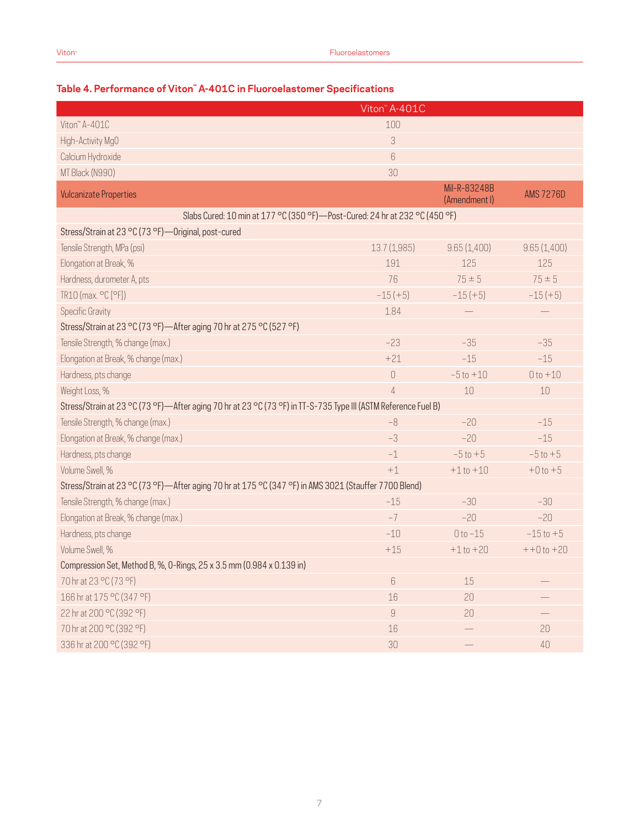|                                                                                                                | Viton <sup>"</sup> A-401C     |                               |                  |
|----------------------------------------------------------------------------------------------------------------|-------------------------------|-------------------------------|------------------|
| Viton" A-401C                                                                                                  | 100                           |                               |                  |
| High-Activity MgO                                                                                              | 3                             |                               |                  |
| Calcium Hydroxide                                                                                              | 6                             |                               |                  |
| MT Black (N990)                                                                                                | 30                            |                               |                  |
| <b>Vulcanizate Properties</b>                                                                                  |                               | Mil-R-83248B<br>(Amendment I) | <b>AMS 7276D</b> |
| Slabs Cured: 10 min at 177 °C (350 °F) - Post-Cured: 24 hr at 232 °C (450 °F)                                  |                               |                               |                  |
| Stress/Strain at 23 °C (73 °F) - Original, post-cured                                                          |                               |                               |                  |
| Tensile Strength, MPa (psi)                                                                                    | 13.7 (1,985)                  | 9.65(1,400)                   | 9.65(1,400)      |
| Elongation at Break, %                                                                                         | 191                           | 125                           | 125              |
| Hardness, durometer A, pts                                                                                     | 76                            | $75 \pm 5$                    | $75 \pm 5$       |
| TR10 (max. °C [°F])                                                                                            | $-15 (+5)$                    | $-15(+5)$                     | $-15(+5)$        |
| <b>Specific Gravity</b>                                                                                        | 1.84                          |                               |                  |
| Stress/Strain at 23 °C (73 °F)—After aging 70 hr at 275 °C (527 °F)                                            |                               |                               |                  |
| Tensile Strength, % change (max.)                                                                              | $-23$                         | $-35$                         | $-35$            |
| Elongation at Break, % change (max.)                                                                           | $+21$                         | $-15$                         | $-15$            |
| Hardness, pts change                                                                                           | $\begin{matrix} \end{matrix}$ | $-5t0 + 10$                   | $0 to +10$       |
| Weight Loss, %                                                                                                 | $\overline{4}$                | 10                            | $10$             |
| Stress/Strain at 23 °C (73 °F)—After aging 70 hr at 23 °C (73 °F) in TT-S-735 Type III (ASTM Reference Fuel B) |                               |                               |                  |
| Tensile Strength, % change (max.)                                                                              | $-8$                          | $-20$                         | $-15$            |
| Elongation at Break, % change (max.)                                                                           | $-3$                          | $-20$                         | $-15$            |
| Hardness, pts change                                                                                           | $-1$                          | $-5t0+5$                      | $-5t0+5$         |
| Volume Swell, %                                                                                                | $+1$                          | $+1t0 + 10$                   | $+0t0+5$         |
| Stress/Strain at 23 °C (73 °F)—After aging 70 hr at 175 °C (347 °F) in AMS 3021 (Stauffer 7700 Blend)          |                               |                               |                  |
| Tensile Strength, % change (max.)                                                                              | $-15$                         | $-30$                         | $-30$            |
| Elongation at Break, % change (max.)                                                                           | $-7$                          | $-20$                         | $-20$            |
| Hardness, pts change                                                                                           | $-10$                         | $0 to -15$                    | $-15$ to $+5$    |
| Volume Swell, %                                                                                                | $+15$                         | $+1$ to $+20$                 | $++0$ to $+20$   |
| Compression Set, Method B, %, 0-Rings, 25 x 3.5 mm (0.984 x 0.139 in)                                          |                               |                               |                  |
| 70 hr at 23 °C (73 °F)                                                                                         | $6\,$                         | 15                            |                  |
| 166 hr at 175 °C (347 °F)                                                                                      | 16                            | 20                            |                  |
| 22 hr at 200 °C (392 °F)                                                                                       | $\mathcal G$                  | 20                            |                  |
| 70 hr at 200 °C (392 °F)                                                                                       | 16                            |                               | 20               |
| 336 hr at 200 °C (392 °F)                                                                                      | 30                            |                               | 40               |

#### **Table 4. Performance of Viton™ A-401C in Fluoroelastomer Specifications**